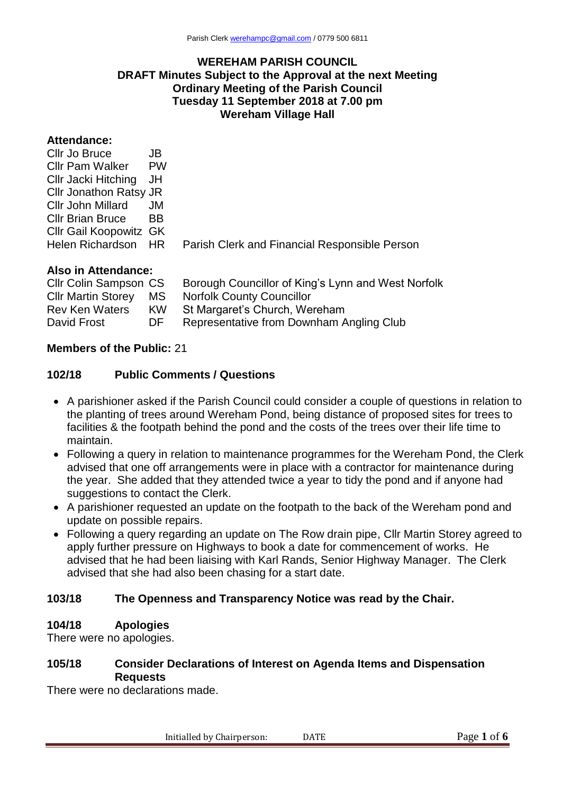#### **WEREHAM PARISH COUNCIL DRAFT Minutes Subject to the Approval at the next Meeting Ordinary Meeting of the Parish Council Tuesday 11 September 2018 at 7.00 pm Wereham Village Hall**

## **Attendance:**

| Cllr Jo Bruce                 | JB.       |                                               |
|-------------------------------|-----------|-----------------------------------------------|
| <b>Cllr Pam Walker</b>        | <b>PW</b> |                                               |
| Cllr Jacki Hitching JH        |           |                                               |
| Cllr Jonathon Ratsy JR        |           |                                               |
| CIIr John Millard             | JM.       |                                               |
| <b>CIIr Brian Bruce</b>       | <b>BB</b> |                                               |
| <b>CIIr Gail Koopowitz GK</b> |           |                                               |
| Helen Richardson HR           |           | Parish Clerk and Financial Responsible Person |
|                               |           |                                               |

#### **Also in Attendance:**

| <b>CIIr Colin Sampson CS</b> | Borough Councillor of King's Lynn and West Norfolk |
|------------------------------|----------------------------------------------------|
| MS.                          | <b>Norfolk County Councillor</b>                   |
| <b>KW</b>                    | St Margaret's Church, Wereham                      |
| DE.                          | Representative from Downham Angling Club           |
|                              |                                                    |

### **Members of the Public:** 21

#### **102/18 Public Comments / Questions**

- A parishioner asked if the Parish Council could consider a couple of questions in relation to the planting of trees around Wereham Pond, being distance of proposed sites for trees to facilities & the footpath behind the pond and the costs of the trees over their life time to maintain.
- Following a query in relation to maintenance programmes for the Wereham Pond, the Clerk advised that one off arrangements were in place with a contractor for maintenance during the year. She added that they attended twice a year to tidy the pond and if anyone had suggestions to contact the Clerk.
- A parishioner requested an update on the footpath to the back of the Wereham pond and update on possible repairs.
- Following a query regarding an update on The Row drain pipe, Cllr Martin Storey agreed to apply further pressure on Highways to book a date for commencement of works. He advised that he had been liaising with Karl Rands, Senior Highway Manager. The Clerk advised that she had also been chasing for a start date.

### **103/18 The Openness and Transparency Notice was read by the Chair.**

### **104/18 Apologies**

There were no apologies.

### **105/18 Consider Declarations of Interest on Agenda Items and Dispensation Requests**

There were no declarations made.

Initialled by Chairperson: DATE Page 1 of 6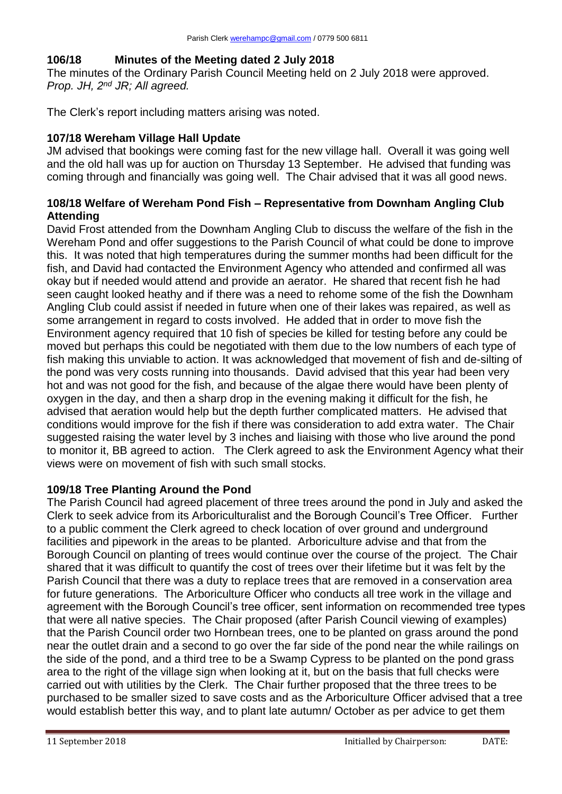# **106/18 Minutes of the Meeting dated 2 July 2018**

The minutes of the Ordinary Parish Council Meeting held on 2 July 2018 were approved. *Prop. JH, 2nd JR; All agreed.*

The Clerk's report including matters arising was noted.

# **107/18 Wereham Village Hall Update**

JM advised that bookings were coming fast for the new village hall. Overall it was going well and the old hall was up for auction on Thursday 13 September. He advised that funding was coming through and financially was going well. The Chair advised that it was all good news.

# **108/18 Welfare of Wereham Pond Fish – Representative from Downham Angling Club Attending**

David Frost attended from the Downham Angling Club to discuss the welfare of the fish in the Wereham Pond and offer suggestions to the Parish Council of what could be done to improve this. It was noted that high temperatures during the summer months had been difficult for the fish, and David had contacted the Environment Agency who attended and confirmed all was okay but if needed would attend and provide an aerator. He shared that recent fish he had seen caught looked heathy and if there was a need to rehome some of the fish the Downham Angling Club could assist if needed in future when one of their lakes was repaired, as well as some arrangement in regard to costs involved. He added that in order to move fish the Environment agency required that 10 fish of species be killed for testing before any could be moved but perhaps this could be negotiated with them due to the low numbers of each type of fish making this unviable to action. It was acknowledged that movement of fish and de-silting of the pond was very costs running into thousands. David advised that this year had been very hot and was not good for the fish, and because of the algae there would have been plenty of oxygen in the day, and then a sharp drop in the evening making it difficult for the fish, he advised that aeration would help but the depth further complicated matters. He advised that conditions would improve for the fish if there was consideration to add extra water. The Chair suggested raising the water level by 3 inches and liaising with those who live around the pond to monitor it, BB agreed to action. The Clerk agreed to ask the Environment Agency what their views were on movement of fish with such small stocks.

# **109/18 Tree Planting Around the Pond**

The Parish Council had agreed placement of three trees around the pond in July and asked the Clerk to seek advice from its Arboriculturalist and the Borough Council's Tree Officer. Further to a public comment the Clerk agreed to check location of over ground and underground facilities and pipework in the areas to be planted. Arboriculture advise and that from the Borough Council on planting of trees would continue over the course of the project. The Chair shared that it was difficult to quantify the cost of trees over their lifetime but it was felt by the Parish Council that there was a duty to replace trees that are removed in a conservation area for future generations. The Arboriculture Officer who conducts all tree work in the village and agreement with the Borough Council's tree officer, sent information on recommended tree types that were all native species. The Chair proposed (after Parish Council viewing of examples) that the Parish Council order two Hornbean trees, one to be planted on grass around the pond near the outlet drain and a second to go over the far side of the pond near the while railings on the side of the pond, and a third tree to be a Swamp Cypress to be planted on the pond grass area to the right of the village sign when looking at it, but on the basis that full checks were carried out with utilities by the Clerk. The Chair further proposed that the three trees to be purchased to be smaller sized to save costs and as the Arboriculture Officer advised that a tree would establish better this way, and to plant late autumn/ October as per advice to get them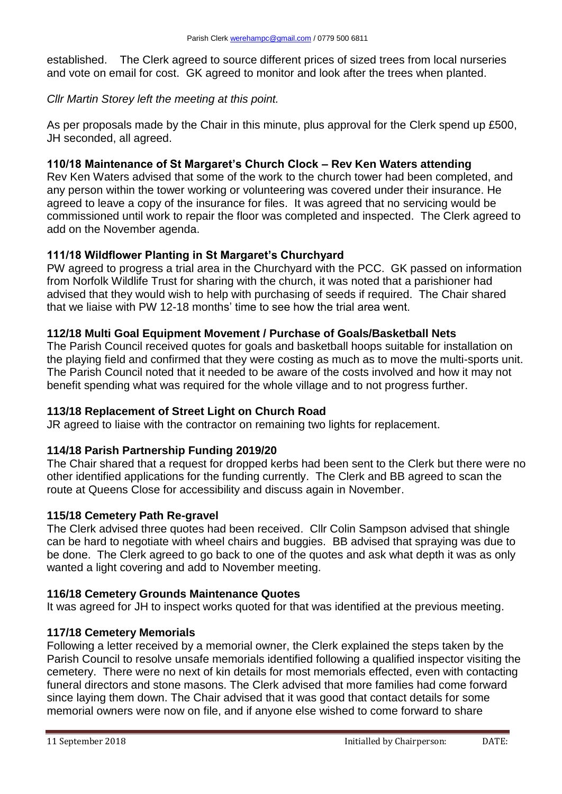established. The Clerk agreed to source different prices of sized trees from local nurseries and vote on email for cost. GK agreed to monitor and look after the trees when planted.

*Cllr Martin Storey left the meeting at this point.*

As per proposals made by the Chair in this minute, plus approval for the Clerk spend up £500, JH seconded, all agreed.

## **110/18 Maintenance of St Margaret's Church Clock – Rev Ken Waters attending**

Rev Ken Waters advised that some of the work to the church tower had been completed, and any person within the tower working or volunteering was covered under their insurance. He agreed to leave a copy of the insurance for files. It was agreed that no servicing would be commissioned until work to repair the floor was completed and inspected. The Clerk agreed to add on the November agenda.

## **111/18 Wildflower Planting in St Margaret's Churchyard**

PW agreed to progress a trial area in the Churchyard with the PCC. GK passed on information from Norfolk Wildlife Trust for sharing with the church, it was noted that a parishioner had advised that they would wish to help with purchasing of seeds if required. The Chair shared that we liaise with PW 12-18 months' time to see how the trial area went.

## **112/18 Multi Goal Equipment Movement / Purchase of Goals/Basketball Nets**

The Parish Council received quotes for goals and basketball hoops suitable for installation on the playing field and confirmed that they were costing as much as to move the multi-sports unit. The Parish Council noted that it needed to be aware of the costs involved and how it may not benefit spending what was required for the whole village and to not progress further.

### **113/18 Replacement of Street Light on Church Road**

JR agreed to liaise with the contractor on remaining two lights for replacement.

# **114/18 Parish Partnership Funding 2019/20**

The Chair shared that a request for dropped kerbs had been sent to the Clerk but there were no other identified applications for the funding currently. The Clerk and BB agreed to scan the route at Queens Close for accessibility and discuss again in November.

# **115/18 Cemetery Path Re-gravel**

The Clerk advised three quotes had been received. Cllr Colin Sampson advised that shingle can be hard to negotiate with wheel chairs and buggies. BB advised that spraying was due to be done. The Clerk agreed to go back to one of the quotes and ask what depth it was as only wanted a light covering and add to November meeting.

### **116/18 Cemetery Grounds Maintenance Quotes**

It was agreed for JH to inspect works quoted for that was identified at the previous meeting.

# **117/18 Cemetery Memorials**

Following a letter received by a memorial owner, the Clerk explained the steps taken by the Parish Council to resolve unsafe memorials identified following a qualified inspector visiting the cemetery. There were no next of kin details for most memorials effected, even with contacting funeral directors and stone masons. The Clerk advised that more families had come forward since laying them down. The Chair advised that it was good that contact details for some memorial owners were now on file, and if anyone else wished to come forward to share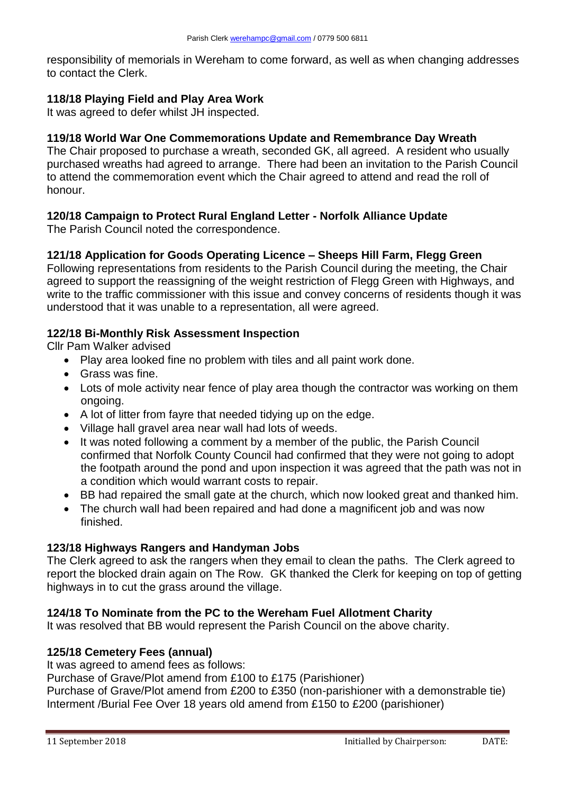responsibility of memorials in Wereham to come forward, as well as when changing addresses to contact the Clerk.

## **118/18 Playing Field and Play Area Work**

It was agreed to defer whilst JH inspected.

# **119/18 World War One Commemorations Update and Remembrance Day Wreath**

The Chair proposed to purchase a wreath, seconded GK, all agreed. A resident who usually purchased wreaths had agreed to arrange. There had been an invitation to the Parish Council to attend the commemoration event which the Chair agreed to attend and read the roll of honour.

# **120/18 Campaign to Protect Rural England Letter - Norfolk Alliance Update**

The Parish Council noted the correspondence.

## **121/18 Application for Goods Operating Licence – Sheeps Hill Farm, Flegg Green**

Following representations from residents to the Parish Council during the meeting, the Chair agreed to support the reassigning of the weight restriction of Flegg Green with Highways, and write to the traffic commissioner with this issue and convey concerns of residents though it was understood that it was unable to a representation, all were agreed.

## **122/18 Bi-Monthly Risk Assessment Inspection**

Cllr Pam Walker advised

- Play area looked fine no problem with tiles and all paint work done.
- Grass was fine.
- Lots of mole activity near fence of play area though the contractor was working on them ongoing.
- A lot of litter from fayre that needed tidying up on the edge.
- Village hall gravel area near wall had lots of weeds.
- It was noted following a comment by a member of the public, the Parish Council confirmed that Norfolk County Council had confirmed that they were not going to adopt the footpath around the pond and upon inspection it was agreed that the path was not in a condition which would warrant costs to repair.
- BB had repaired the small gate at the church, which now looked great and thanked him.
- The church wall had been repaired and had done a magnificent job and was now finished.

### **123/18 Highways Rangers and Handyman Jobs**

The Clerk agreed to ask the rangers when they email to clean the paths. The Clerk agreed to report the blocked drain again on The Row. GK thanked the Clerk for keeping on top of getting highways in to cut the grass around the village.

### **124/18 To Nominate from the PC to the Wereham Fuel Allotment Charity**

It was resolved that BB would represent the Parish Council on the above charity.

## **125/18 Cemetery Fees (annual)**

It was agreed to amend fees as follows:

Purchase of Grave/Plot amend from £100 to £175 (Parishioner)

Purchase of Grave/Plot amend from £200 to £350 (non-parishioner with a demonstrable tie) Interment /Burial Fee Over 18 years old amend from £150 to £200 (parishioner)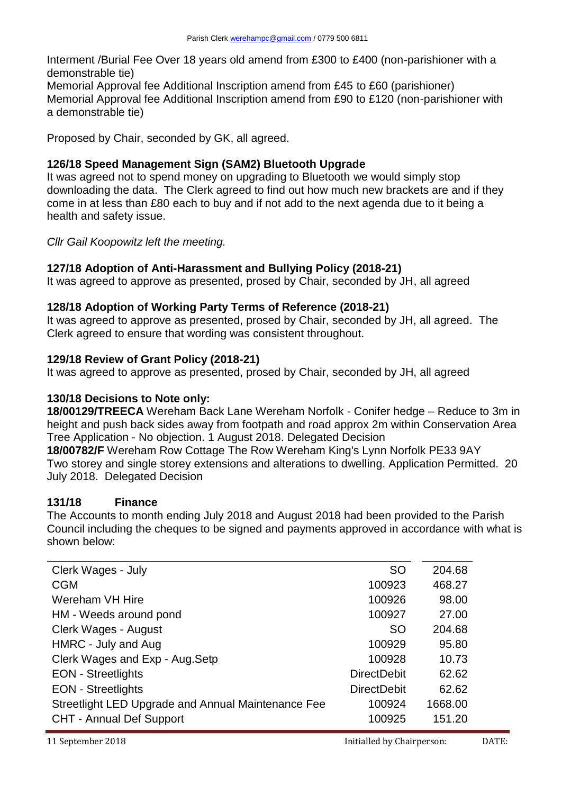Interment /Burial Fee Over 18 years old amend from £300 to £400 (non-parishioner with a demonstrable tie)

Memorial Approval fee Additional Inscription amend from £45 to £60 (parishioner) Memorial Approval fee Additional Inscription amend from £90 to £120 (non-parishioner with a demonstrable tie)

Proposed by Chair, seconded by GK, all agreed.

# **126/18 Speed Management Sign (SAM2) Bluetooth Upgrade**

It was agreed not to spend money on upgrading to Bluetooth we would simply stop downloading the data. The Clerk agreed to find out how much new brackets are and if they come in at less than £80 each to buy and if not add to the next agenda due to it being a health and safety issue.

*Cllr Gail Koopowitz left the meeting.* 

# **127/18 Adoption of Anti-Harassment and Bullying Policy (2018-21)**

It was agreed to approve as presented, prosed by Chair, seconded by JH, all agreed

## **128/18 Adoption of Working Party Terms of Reference (2018-21)**

It was agreed to approve as presented, prosed by Chair, seconded by JH, all agreed. The Clerk agreed to ensure that wording was consistent throughout.

## **129/18 Review of Grant Policy (2018-21)**

It was agreed to approve as presented, prosed by Chair, seconded by JH, all agreed

### **130/18 Decisions to Note only:**

**18/00129/TREECA** Wereham Back Lane Wereham Norfolk - Conifer hedge – Reduce to 3m in height and push back sides away from footpath and road approx 2m within Conservation Area Tree Application - No objection. 1 August 2018. Delegated Decision

**18/00782/F** Wereham Row Cottage The Row Wereham King's Lynn Norfolk PE33 9AY Two storey and single storey extensions and alterations to dwelling. Application Permitted. 20 July 2018. Delegated Decision

# **131/18 Finance**

The Accounts to month ending July 2018 and August 2018 had been provided to the Parish Council including the cheques to be signed and payments approved in accordance with what is shown below:

| Clerk Wages - July                                 | <b>SO</b>          | 204.68  |
|----------------------------------------------------|--------------------|---------|
| <b>CGM</b>                                         | 100923             | 468.27  |
| Wereham VH Hire                                    | 100926             | 98.00   |
| HM - Weeds around pond                             | 100927             | 27.00   |
| <b>Clerk Wages - August</b>                        | <b>SO</b>          | 204.68  |
| HMRC - July and Aug                                | 100929             | 95.80   |
| Clerk Wages and Exp - Aug. Setp                    | 100928             | 10.73   |
| <b>EON</b> - Streetlights                          | <b>DirectDebit</b> | 62.62   |
| <b>EON</b> - Streetlights                          | <b>DirectDebit</b> | 62.62   |
| Streetlight LED Upgrade and Annual Maintenance Fee | 100924             | 1668.00 |
| <b>CHT - Annual Def Support</b>                    | 100925             | 151.20  |
|                                                    |                    |         |